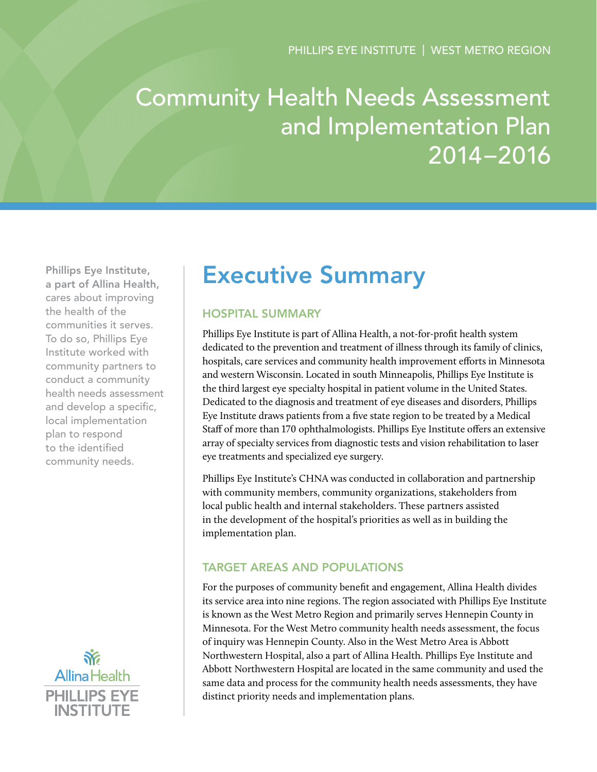# Community Health Needs Assessment and Implementation Plan 2014–2016

Phillips Eye Institute, a part of Allina Health, cares about improving the health of the communities it serves. To do so, Phillips Eye Institute worked with community partners to conduct a community health needs assessment and develop a specific, local implementation plan to respond to the identified community needs.



## Executive Summary

## Hospital Summary

Phillips Eye Institute is part of Allina Health, a not-for-profit health system dedicated to the prevention and treatment of illness through its family of clinics, hospitals, care services and community health improvement efforts in Minnesota and western Wisconsin. Located in south Minneapolis, Phillips Eye Institute is the third largest eye specialty hospital in patient volume in the United States. Dedicated to the diagnosis and treatment of eye diseases and disorders, Phillips Eye Institute draws patients from a five state region to be treated by a Medical Staff of more than 170 ophthalmologists. Phillips Eye Institute offers an extensive array of specialty services from diagnostic tests and vision rehabilitation to laser eye treatments and specialized eye surgery.

Phillips Eye Institute's CHNA was conducted in collaboration and partnership with community members, community organizations, stakeholders from local public health and internal stakeholders. These partners assisted in the development of the hospital's priorities as well as in building the implementation plan.

## Target Areas and Populations

For the purposes of community benefit and engagement, Allina Health divides its service area into nine regions. The region associated with Phillips Eye Institute is known as the West Metro Region and primarily serves Hennepin County in Minnesota. For the West Metro community health needs assessment, the focus of inquiry was Hennepin County. Also in the West Metro Area is Abbott Northwestern Hospital, also a part of Allina Health. Phillips Eye Institute and Abbott Northwestern Hospital are located in the same community and used the same data and process for the community health needs assessments, they have distinct priority needs and implementation plans.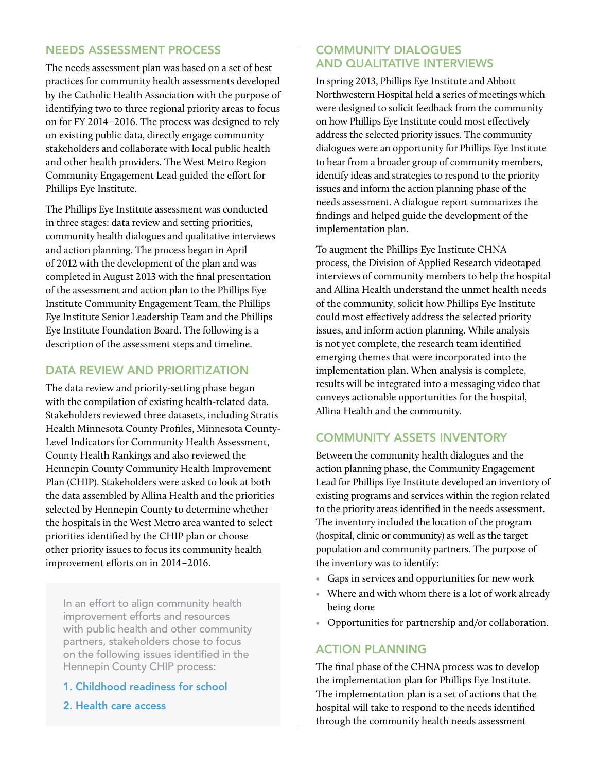#### Needs Assessment Process

The needs assessment plan was based on a set of best practices for community health assessments developed by the Catholic Health Association with the purpose of identifying two to three regional priority areas to focus on for FY 2014–2016. The process was designed to rely on existing public data, directly engage community stakeholders and collaborate with local public health and other health providers. The West Metro Region Community Engagement Lead guided the effort for Phillips Eye Institute.

The Phillips Eye Institute assessment was conducted in three stages: data review and setting priorities, community health dialogues and qualitative interviews and action planning. The process began in April of 2012 with the development of the plan and was completed in August 2013 with the final presentation of the assessment and action plan to the Phillips Eye Institute Community Engagement Team, the Phillips Eye Institute Senior Leadership Team and the Phillips Eye Institute Foundation Board. The following is a description of the assessment steps and timeline.

## Data Review and Prioritization

The data review and priority-setting phase began with the compilation of existing health-related data. Stakeholders reviewed three datasets, including Stratis Health Minnesota County Profiles, Minnesota County-Level Indicators for Community Health Assessment, County Health Rankings and also reviewed the Hennepin County Community Health Improvement Plan (CHIP). Stakeholders were asked to look at both the data assembled by Allina Health and the priorities selected by Hennepin County to determine whether the hospitals in the West Metro area wanted to select priorities identified by the CHIP plan or choose other priority issues to focus its community health improvement efforts on in 2014–2016.

In an effort to align community health improvement efforts and resources with public health and other community partners, stakeholders chose to focus on the following issues identified in the Hennepin County CHIP process:

#### 1. Childhood readiness for school

2. Health care access

### Community Dialogues and Qualitative Interviews

In spring 2013, Phillips Eye Institute and Abbott Northwestern Hospital held a series of meetings which were designed to solicit feedback from the community on how Phillips Eye Institute could most effectively address the selected priority issues. The community dialogues were an opportunity for Phillips Eye Institute to hear from a broader group of community members, identify ideas and strategies to respond to the priority issues and inform the action planning phase of the needs assessment. A dialogue report summarizes the findings and helped guide the development of the implementation plan.

To augment the Phillips Eye Institute CHNA process, the Division of Applied Research videotaped interviews of community members to help the hospital and Allina Health understand the unmet health needs of the community, solicit how Phillips Eye Institute could most effectively address the selected priority issues, and inform action planning. While analysis is not yet complete, the research team identified emerging themes that were incorporated into the implementation plan. When analysis is complete, results will be integrated into a messaging video that conveys actionable opportunities for the hospital, Allina Health and the community.

## Community Assets Inventory

Between the community health dialogues and the action planning phase, the Community Engagement Lead for Phillips Eye Institute developed an inventory of existing programs and services within the region related to the priority areas identified in the needs assessment. The inventory included the location of the program (hospital, clinic or community) as well as the target population and community partners. The purpose of the inventory was to identify:

- Gaps in services and opportunities for new work
- Where and with whom there is a lot of work already being done
- Opportunities for partnership and/or collaboration.

#### Action Planning

The final phase of the CHNA process was to develop the implementation plan for Phillips Eye Institute. The implementation plan is a set of actions that the hospital will take to respond to the needs identified through the community health needs assessment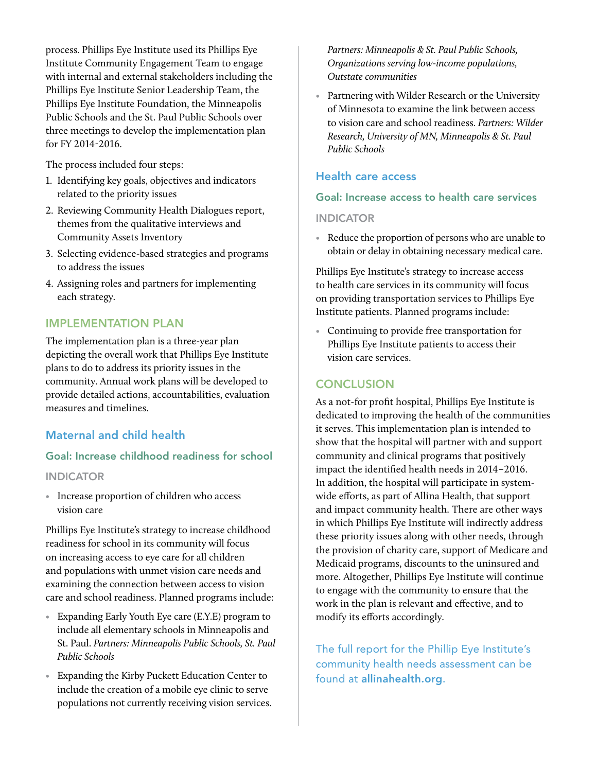process. Phillips Eye Institute used its Phillips Eye Institute Community Engagement Team to engage with internal and external stakeholders including the Phillips Eye Institute Senior Leadership Team, the Phillips Eye Institute Foundation, the Minneapolis Public Schools and the St. Paul Public Schools over three meetings to develop the implementation plan for FY 2014-2016.

The process included four steps:

- 1. Identifying key goals, objectives and indicators related to the priority issues
- 2. Reviewing Community Health Dialogues report, themes from the qualitative interviews and Community Assets Inventory
- 3. Selecting evidence-based strategies and programs to address the issues
- 4. Assigning roles and partners for implementing each strategy.

## Implementation Plan

The implementation plan is a three-year plan depicting the overall work that Phillips Eye Institute plans to do to address its priority issues in the community. Annual work plans will be developed to provide detailed actions, accountabilities, evaluation measures and timelines.

#### Maternal and child health

#### Goal: Increase childhood readiness for school

#### **INDICATOR**

• Increase proportion of children who access vision care

Phillips Eye Institute's strategy to increase childhood readiness for school in its community will focus on increasing access to eye care for all children and populations with unmet vision care needs and examining the connection between access to vision care and school readiness. Planned programs include:

- Expanding Early Youth Eye care (E.Y.E) program to include all elementary schools in Minneapolis and St. Paul. *Partners: Minneapolis Public Schools, St. Paul Public Schools*
- Expanding the Kirby Puckett Education Center to include the creation of a mobile eye clinic to serve populations not currently receiving vision services.

*Partners: Minneapolis & St. Paul Public Schools, Organizations serving low-income populations, Outstate communities*

• Partnering with Wilder Research or the University of Minnesota to examine the link between access to vision care and school readiness. *Partners: Wilder Research, University of MN, Minneapolis & St. Paul Public Schools*

#### Health care access

#### Goal: Increase access to health care services

#### **INDICATOR**

• Reduce the proportion of persons who are unable to obtain or delay in obtaining necessary medical care.

Phillips Eye Institute's strategy to increase access to health care services in its community will focus on providing transportation services to Phillips Eye Institute patients. Planned programs include:

• Continuing to provide free transportation for Phillips Eye Institute patients to access their vision care services.

#### **CONCLUSION**

As a not-for profit hospital, Phillips Eye Institute is dedicated to improving the health of the communities it serves. This implementation plan is intended to show that the hospital will partner with and support community and clinical programs that positively impact the identified health needs in 2014–2016. In addition, the hospital will participate in systemwide efforts, as part of Allina Health, that support and impact community health. There are other ways in which Phillips Eye Institute will indirectly address these priority issues along with other needs, through the provision of charity care, support of Medicare and Medicaid programs, discounts to the uninsured and more. Altogether, Phillips Eye Institute will continue to engage with the community to ensure that the work in the plan is relevant and effective, and to modify its efforts accordingly.

The full report for the Phillip Eye Institute's community health needs assessment can be found at allinahealth.org.